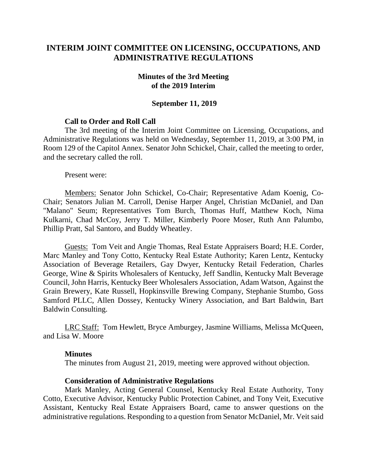# **INTERIM JOINT COMMITTEE ON LICENSING, OCCUPATIONS, AND ADMINISTRATIVE REGULATIONS**

## **Minutes of the 3rd Meeting of the 2019 Interim**

## **September 11, 2019**

### **Call to Order and Roll Call**

The 3rd meeting of the Interim Joint Committee on Licensing, Occupations, and Administrative Regulations was held on Wednesday, September 11, 2019, at 3:00 PM, in Room 129 of the Capitol Annex. Senator John Schickel, Chair, called the meeting to order, and the secretary called the roll.

Present were:

Members: Senator John Schickel, Co-Chair; Representative Adam Koenig, Co-Chair; Senators Julian M. Carroll, Denise Harper Angel, Christian McDaniel, and Dan "Malano" Seum; Representatives Tom Burch, Thomas Huff, Matthew Koch, Nima Kulkarni, Chad McCoy, Jerry T. Miller, Kimberly Poore Moser, Ruth Ann Palumbo, Phillip Pratt, Sal Santoro, and Buddy Wheatley.

Guests: Tom Veit and Angie Thomas, Real Estate Appraisers Board; H.E. Corder, Marc Manley and Tony Cotto, Kentucky Real Estate Authority; Karen Lentz, Kentucky Association of Beverage Retailers, Gay Dwyer, Kentucky Retail Federation, Charles George, Wine & Spirits Wholesalers of Kentucky, Jeff Sandlin, Kentucky Malt Beverage Council, John Harris, Kentucky Beer Wholesalers Association, Adam Watson, Against the Grain Brewery, Kate Russell, Hopkinsville Brewing Company, Stephanie Stumbo, Goss Samford PLLC, Allen Dossey, Kentucky Winery Association, and Bart Baldwin, Bart Baldwin Consulting.

LRC Staff: Tom Hewlett, Bryce Amburgey, Jasmine Williams, Melissa McQueen, and Lisa W. Moore

#### **Minutes**

The minutes from August 21, 2019, meeting were approved without objection.

#### **Consideration of Administrative Regulations**

Mark Manley, Acting General Counsel, Kentucky Real Estate Authority, Tony Cotto, Executive Advisor, Kentucky Public Protection Cabinet, and Tony Veit, Executive Assistant, Kentucky Real Estate Appraisers Board, came to answer questions on the administrative regulations. Responding to a question from Senator McDaniel, Mr. Veit said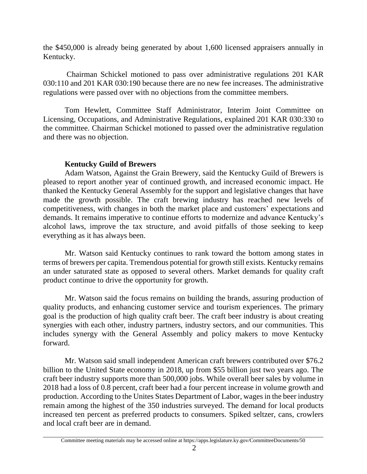the \$450,000 is already being generated by about 1,600 licensed appraisers annually in Kentucky.

Chairman Schickel motioned to pass over administrative regulations 201 KAR 030:110 and 201 KAR 030:190 because there are no new fee increases. The administrative regulations were passed over with no objections from the committee members.

Tom Hewlett, Committee Staff Administrator, Interim Joint Committee on Licensing, Occupations, and Administrative Regulations, explained 201 KAR 030:330 to the committee. Chairman Schickel motioned to passed over the administrative regulation and there was no objection.

## **Kentucky Guild of Brewers**

Adam Watson, Against the Grain Brewery, said the Kentucky Guild of Brewers is pleased to report another year of continued growth, and increased economic impact. He thanked the Kentucky General Assembly for the support and legislative changes that have made the growth possible. The craft brewing industry has reached new levels of competitiveness, with changes in both the market place and customers' expectations and demands. It remains imperative to continue efforts to modernize and advance Kentucky's alcohol laws, improve the tax structure, and avoid pitfalls of those seeking to keep everything as it has always been.

Mr. Watson said Kentucky continues to rank toward the bottom among states in terms of brewers per capita. Tremendous potential for growth still exists. Kentucky remains an under saturated state as opposed to several others. Market demands for quality craft product continue to drive the opportunity for growth.

Mr. Watson said the focus remains on building the brands, assuring production of quality products, and enhancing customer service and tourism experiences. The primary goal is the production of high quality craft beer. The craft beer industry is about creating synergies with each other, industry partners, industry sectors, and our communities. This includes synergy with the General Assembly and policy makers to move Kentucky forward.

Mr. Watson said small independent American craft brewers contributed over \$76.2 billion to the United State economy in 2018, up from \$55 billion just two years ago. The craft beer industry supports more than 500,000 jobs. While overall beer sales by volume in 2018 had a loss of 0.8 percent, craft beer had a four percent increase in volume growth and production. According to the Unites States Department of Labor, wages in the beer industry remain among the highest of the 350 industries surveyed. The demand for local products increased ten percent as preferred products to consumers. Spiked seltzer, cans, crowlers and local craft beer are in demand.

Committee meeting materials may be accessed online at https://apps.legislature.ky.gov/CommitteeDocuments/50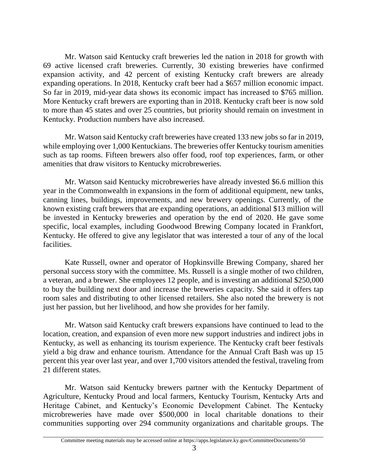Mr. Watson said Kentucky craft breweries led the nation in 2018 for growth with 69 active licensed craft breweries. Currently, 30 existing breweries have confirmed expansion activity, and 42 percent of existing Kentucky craft brewers are already expanding operations. In 2018, Kentucky craft beer had a \$657 million economic impact. So far in 2019, mid-year data shows its economic impact has increased to \$765 million. More Kentucky craft brewers are exporting than in 2018. Kentucky craft beer is now sold to more than 45 states and over 25 countries, but priority should remain on investment in Kentucky. Production numbers have also increased.

Mr. Watson said Kentucky craft breweries have created 133 new jobs so far in 2019, while employing over 1,000 Kentuckians. The breweries offer Kentucky tourism amenities such as tap rooms. Fifteen brewers also offer food, roof top experiences, farm, or other amenities that draw visitors to Kentucky microbreweries.

Mr. Watson said Kentucky microbreweries have already invested \$6.6 million this year in the Commonwealth in expansions in the form of additional equipment, new tanks, canning lines, buildings, improvements, and new brewery openings. Currently, of the known existing craft brewers that are expanding operations, an additional \$13 million will be invested in Kentucky breweries and operation by the end of 2020. He gave some specific, local examples, including Goodwood Brewing Company located in Frankfort, Kentucky. He offered to give any legislator that was interested a tour of any of the local facilities.

Kate Russell, owner and operator of Hopkinsville Brewing Company, shared her personal success story with the committee. Ms. Russell is a single mother of two children, a veteran, and a brewer. She employees 12 people, and is investing an additional \$250,000 to buy the building next door and increase the breweries capacity. She said it offers tap room sales and distributing to other licensed retailers. She also noted the brewery is not just her passion, but her livelihood, and how she provides for her family.

Mr. Watson said Kentucky craft brewers expansions have continued to lead to the location, creation, and expansion of even more new support industries and indirect jobs in Kentucky, as well as enhancing its tourism experience. The Kentucky craft beer festivals yield a big draw and enhance tourism. Attendance for the Annual Craft Bash was up 15 percent this year over last year, and over 1,700 visitors attended the festival, traveling from 21 different states.

Mr. Watson said Kentucky brewers partner with the Kentucky Department of Agriculture, Kentucky Proud and local farmers, Kentucky Tourism, Kentucky Arts and Heritage Cabinet, and Kentucky's Economic Development Cabinet. The Kentucky microbreweries have made over \$500,000 in local charitable donations to their communities supporting over 294 community organizations and charitable groups. The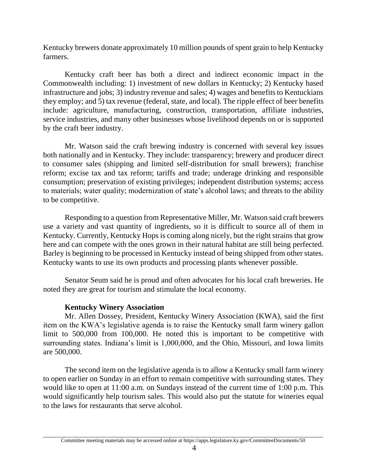Kentucky brewers donate approximately 10 million pounds of spent grain to help Kentucky farmers.

Kentucky craft beer has both a direct and indirect economic impact in the Commonwealth including: 1) investment of new dollars in Kentucky; 2) Kentucky based infrastructure and jobs; 3) industry revenue and sales; 4) wages and benefits to Kentuckians they employ; and 5) tax revenue (federal, state, and local). The ripple effect of beer benefits include: agriculture, manufacturing, construction, transportation, affiliate industries, service industries, and many other businesses whose livelihood depends on or is supported by the craft beer industry.

Mr. Watson said the craft brewing industry is concerned with several key issues both nationally and in Kentucky. They include: transparency; brewery and producer direct to consumer sales (shipping and limited self-distribution for small brewers); franchise reform; excise tax and tax reform; tariffs and trade; underage drinking and responsible consumption; preservation of existing privileges; independent distribution systems; access to materials; water quality; modernization of state's alcohol laws; and threats to the ability to be competitive.

Responding to a question from Representative Miller, Mr. Watson said craft brewers use a variety and vast quantity of ingredients, so it is difficult to source all of them in Kentucky. Currently, Kentucky Hops is coming along nicely, but the right strains that grow here and can compete with the ones grown in their natural habitat are still being perfected. Barley is beginning to be processed in Kentucky instead of being shipped from other states. Kentucky wants to use its own products and processing plants whenever possible.

Senator Seum said he is proud and often advocates for his local craft breweries. He noted they are great for tourism and stimulate the local economy.

## **Kentucky Winery Association**

Mr. Allen Dossey, President, Kentucky Winery Association (KWA), said the first item on the KWA's legislative agenda is to raise the Kentucky small farm winery gallon limit to 500,000 from 100,000. He noted this is important to be competitive with surrounding states. Indiana's limit is 1,000,000, and the Ohio, Missouri, and Iowa limits are 500,000.

The second item on the legislative agenda is to allow a Kentucky small farm winery to open earlier on Sunday in an effort to remain competitive with surrounding states. They would like to open at 11:00 a.m. on Sundays instead of the current time of 1:00 p.m. This would significantly help tourism sales. This would also put the statute for wineries equal to the laws for restaurants that serve alcohol.

Committee meeting materials may be accessed online at https://apps.legislature.ky.gov/CommitteeDocuments/50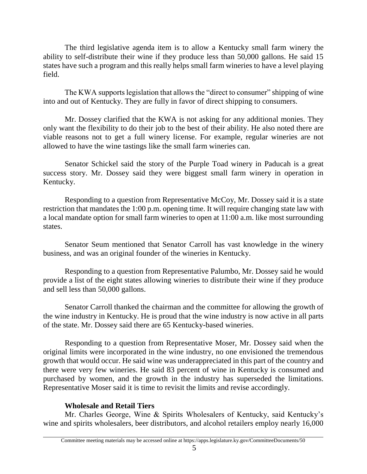The third legislative agenda item is to allow a Kentucky small farm winery the ability to self-distribute their wine if they produce less than 50,000 gallons. He said 15 states have such a program and this really helps small farm wineries to have a level playing field.

The KWA supports legislation that allows the "direct to consumer" shipping of wine into and out of Kentucky. They are fully in favor of direct shipping to consumers.

Mr. Dossey clarified that the KWA is not asking for any additional monies. They only want the flexibility to do their job to the best of their ability. He also noted there are viable reasons not to get a full winery license. For example, regular wineries are not allowed to have the wine tastings like the small farm wineries can.

Senator Schickel said the story of the Purple Toad winery in Paducah is a great success story. Mr. Dossey said they were biggest small farm winery in operation in Kentucky.

Responding to a question from Representative McCoy, Mr. Dossey said it is a state restriction that mandates the 1:00 p.m. opening time. It will require changing state law with a local mandate option for small farm wineries to open at 11:00 a.m. like most surrounding states.

Senator Seum mentioned that Senator Carroll has vast knowledge in the winery business, and was an original founder of the wineries in Kentucky.

Responding to a question from Representative Palumbo, Mr. Dossey said he would provide a list of the eight states allowing wineries to distribute their wine if they produce and sell less than 50,000 gallons.

Senator Carroll thanked the chairman and the committee for allowing the growth of the wine industry in Kentucky. He is proud that the wine industry is now active in all parts of the state. Mr. Dossey said there are 65 Kentucky-based wineries.

Responding to a question from Representative Moser, Mr. Dossey said when the original limits were incorporated in the wine industry, no one envisioned the tremendous growth that would occur. He said wine was underappreciated in this part of the country and there were very few wineries. He said 83 percent of wine in Kentucky is consumed and purchased by women, and the growth in the industry has superseded the limitations. Representative Moser said it is time to revisit the limits and revise accordingly.

# **Wholesale and Retail Tiers**

Mr. Charles George, Wine & Spirits Wholesalers of Kentucky, said Kentucky's wine and spirits wholesalers, beer distributors, and alcohol retailers employ nearly 16,000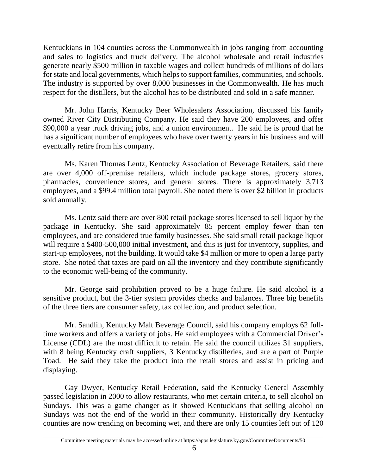Kentuckians in 104 counties across the Commonwealth in jobs ranging from accounting and sales to logistics and truck delivery. The alcohol wholesale and retail industries generate nearly \$500 million in taxable wages and collect hundreds of millions of dollars for state and local governments, which helps to support families, communities, and schools. The industry is supported by over 8,000 businesses in the Commonwealth. He has much respect for the distillers, but the alcohol has to be distributed and sold in a safe manner.

Mr. John Harris, Kentucky Beer Wholesalers Association, discussed his family owned River City Distributing Company. He said they have 200 employees, and offer \$90,000 a year truck driving jobs, and a union environment. He said he is proud that he has a significant number of employees who have over twenty years in his business and will eventually retire from his company.

Ms. Karen Thomas Lentz, Kentucky Association of Beverage Retailers, said there are over 4,000 off-premise retailers, which include package stores, grocery stores, pharmacies, convenience stores, and general stores. There is approximately 3,713 employees, and a \$99.4 million total payroll. She noted there is over \$2 billion in products sold annually.

Ms. Lentz said there are over 800 retail package stores licensed to sell liquor by the package in Kentucky. She said approximately 85 percent employ fewer than ten employees, and are considered true family businesses. She said small retail package liquor will require a \$400-500,000 initial investment, and this is just for inventory, supplies, and start-up employees, not the building. It would take \$4 million or more to open a large party store. She noted that taxes are paid on all the inventory and they contribute significantly to the economic well-being of the community.

Mr. George said prohibition proved to be a huge failure. He said alcohol is a sensitive product, but the 3-tier system provides checks and balances. Three big benefits of the three tiers are consumer safety, tax collection, and product selection.

Mr. Sandlin, Kentucky Malt Beverage Council, said his company employs 62 fulltime workers and offers a variety of jobs. He said employees with a Commercial Driver's License (CDL) are the most difficult to retain. He said the council utilizes 31 suppliers, with 8 being Kentucky craft suppliers, 3 Kentucky distilleries, and are a part of Purple Toad. He said they take the product into the retail stores and assist in pricing and displaying.

Gay Dwyer, Kentucky Retail Federation, said the Kentucky General Assembly passed legislation in 2000 to allow restaurants, who met certain criteria, to sell alcohol on Sundays. This was a game changer as it showed Kentuckians that selling alcohol on Sundays was not the end of the world in their community. Historically dry Kentucky counties are now trending on becoming wet, and there are only 15 counties left out of 120